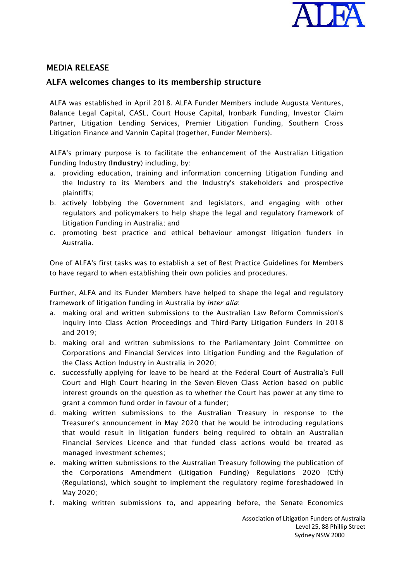

## MEDIA RELEASE

## ALFA welcomes changes to its membership structure

ALFA was established in April 2018. ALFA Funder Members include Augusta Ventures, Balance Legal Capital, CASL, Court House Capital, Ironbark Funding, Investor Claim Partner, Litigation Lending Services, Premier Litigation Funding, Southern Cross Litigation Finance and Vannin Capital (together, Funder Members).

ALFA's primary purpose is to facilitate the enhancement of the Australian Litigation Funding Industry (Industry) including, by:

- a. providing education, training and information concerning Litigation Funding and the Industry to its Members and the Industry's stakeholders and prospective plaintiffs;
- b. actively lobbying the Government and legislators, and engaging with other regulators and policymakers to help shape the legal and regulatory framework of Litigation Funding in Australia; and
- c. promoting best practice and ethical behaviour amongst litigation funders in Australia.

One of ALFA's first tasks was to establish a set of Best Practice Guidelines for Members to have regard to when establishing their own policies and procedures.

Further, ALFA and its Funder Members have helped to shape the legal and regulatory framework of litigation funding in Australia by *inter alia*:

- a. making oral and written submissions to the Australian Law Reform Commission's inquiry into Class Action Proceedings and Third-Party Litigation Funders in 2018 and 2019;
- b. making oral and written submissions to the Parliamentary Joint Committee on Corporations and Financial Services into Litigation Funding and the Regulation of the Class Action Industry in Australia in 2020;
- c. successfully applying for leave to be heard at the Federal Court of Australia's Full Court and High Court hearing in the Seven-Eleven Class Action based on public interest grounds on the question as to whether the Court has power at any time to grant a common fund order in favour of a funder;
- d. making written submissions to the Australian Treasury in response to the Treasurer's announcement in May 2020 that he would be introducing regulations that would result in litigation funders being required to obtain an Australian Financial Services Licence and that funded class actions would be treated as managed investment schemes;
- e. making written submissions to the Australian Treasury following the publication of the Corporations Amendment (Litigation Funding) Regulations 2020 (Cth) (Regulations), which sought to implement the regulatory regime foreshadowed in May 2020;
- f. making written submissions to, and appearing before, the Senate Economics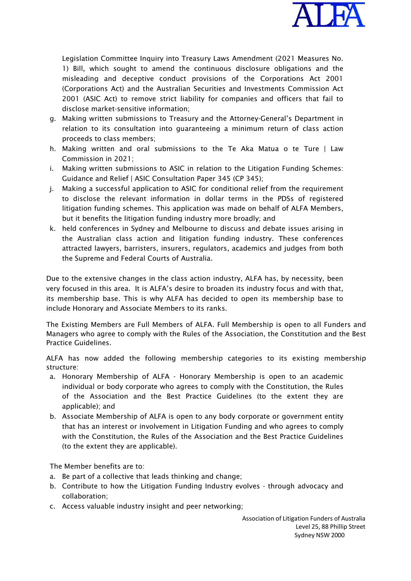

Legislation Committee Inquiry into Treasury Laws Amendment (2021 Measures No. 1) Bill, which sought to amend the continuous disclosure obligations and the misleading and deceptive conduct provisions of the Corporations Act 2001 (Corporations Act) and the Australian Securities and Investments Commission Act 2001 (ASIC Act) to remove strict liability for companies and officers that fail to disclose market-sensitive information;

- g. Making written submissions to Treasury and the Attorney-General's Department in relation to its consultation into guaranteeing a minimum return of class action proceeds to class members;
- h. Making written and oral submissions to the Te Aka Matua o te Ture | Law Commission in 2021;
- i. Making written submissions to ASIC in relation to the Litigation Funding Schemes: Guidance and Relief | ASIC Consultation Paper 345 (CP 345);
- j. Making a successful application to ASIC for conditional relief from the requirement to disclose the relevant information in dollar terms in the PDSs of registered litigation funding schemes. This application was made on behalf of ALFA Members, but it benefits the litigation funding industry more broadly; and
- k. held conferences in Sydney and Melbourne to discuss and debate issues arising in the Australian class action and litigation funding industry. These conferences attracted lawyers, barristers, insurers, regulators, academics and judges from both the Supreme and Federal Courts of Australia.

Due to the extensive changes in the class action industry, ALFA has, by necessity, been very focused in this area. It is ALFA's desire to broaden its industry focus and with that, its membership base. This is why ALFA has decided to open its membership base to include Honorary and Associate Members to its ranks.

The Existing Members are Full Members of ALFA. Full Membership is open to all Funders and Managers who agree to comply with the Rules of the Association, the Constitution and the Best Practice Guidelines.

ALFA has now added the following membership categories to its existing membership structure:

- a. Honorary Membership of ALFA Honorary Membership is open to an academic individual or body corporate who agrees to comply with the Constitution, the Rules of the Association and the Best Practice Guidelines (to the extent they are applicable); and
- b. Associate Membership of ALFA is open to any body corporate or government entity that has an interest or involvement in Litigation Funding and who agrees to comply with the Constitution, the Rules of the Association and the Best Practice Guidelines (to the extent they are applicable).

The Member benefits are to:

- a. Be part of a collective that leads thinking and change;
- b. Contribute to how the Litigation Funding Industry evolves through advocacy and collaboration;
- c. Access valuable industry insight and peer networking;